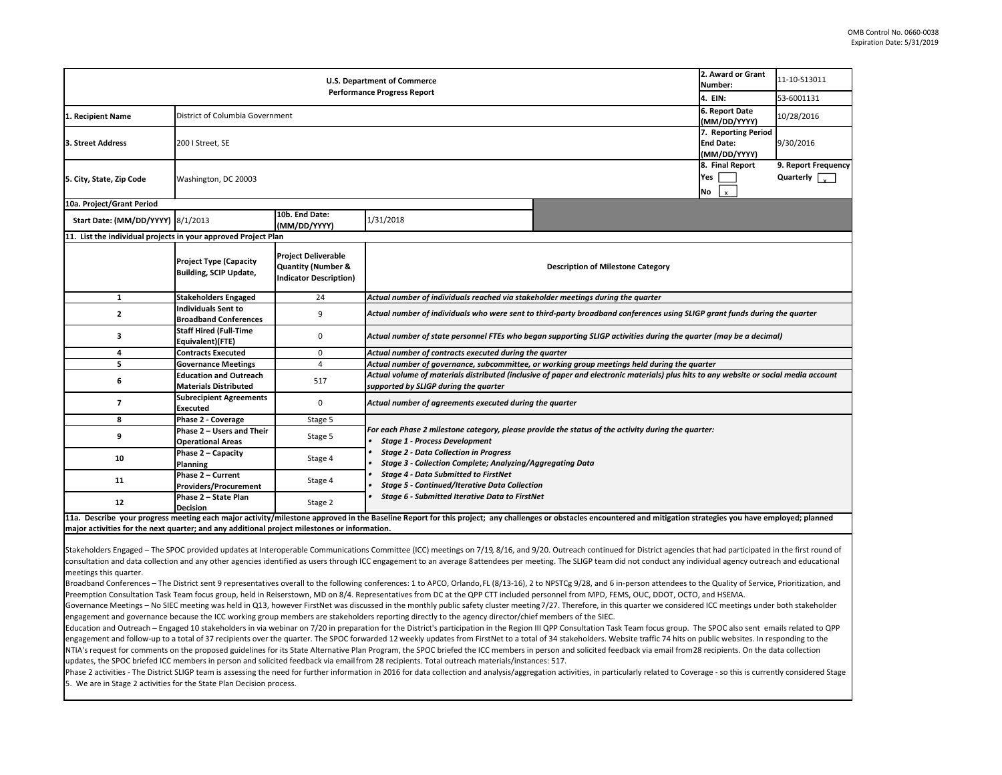| <b>U.S. Department of Commerce</b><br><b>Performance Progress Report</b> |                                                               |                                                                                              |                                                                                                                                                                                                                                                         |  | 2. Award or Grant<br>Number:                            | 11-10-S13011                     |  |  |
|--------------------------------------------------------------------------|---------------------------------------------------------------|----------------------------------------------------------------------------------------------|---------------------------------------------------------------------------------------------------------------------------------------------------------------------------------------------------------------------------------------------------------|--|---------------------------------------------------------|----------------------------------|--|--|
|                                                                          |                                                               |                                                                                              |                                                                                                                                                                                                                                                         |  | 4. EIN:                                                 | 53-6001131                       |  |  |
| 1. Recipient Name                                                        | District of Columbia Government                               |                                                                                              |                                                                                                                                                                                                                                                         |  | 6. Report Date<br>(MM/DD/YYYY)                          | 10/28/2016                       |  |  |
| 3. Street Address                                                        | 200   Street, SE                                              |                                                                                              |                                                                                                                                                                                                                                                         |  | 7. Reporting Period<br><b>End Date:</b><br>(MM/DD/YYYY) | 9/30/2016                        |  |  |
| 5. City, State, Zip Code                                                 | Washington, DC 20003                                          |                                                                                              |                                                                                                                                                                                                                                                         |  | 8. Final Report<br>Yes<br>No<br>$\mathsf{x}$            | 9. Report Frequency<br>Quarterly |  |  |
| 10a. Project/Grant Period                                                |                                                               |                                                                                              |                                                                                                                                                                                                                                                         |  |                                                         |                                  |  |  |
| Start Date: (MM/DD/YYYY) 8/1/2013                                        |                                                               | 10b. End Date:<br>(MM/DD/YYYY)                                                               | 1/31/2018                                                                                                                                                                                                                                               |  |                                                         |                                  |  |  |
| 11. List the individual projects in your approved Project Plan           |                                                               |                                                                                              |                                                                                                                                                                                                                                                         |  |                                                         |                                  |  |  |
|                                                                          | <b>Project Type (Capacity</b><br>Building, SCIP Update,       | <b>Project Deliverable</b><br><b>Quantity (Number &amp;</b><br><b>Indicator Description)</b> | <b>Description of Milestone Category</b>                                                                                                                                                                                                                |  |                                                         |                                  |  |  |
| 1                                                                        | <b>Stakeholders Engaged</b>                                   | 24                                                                                           | Actual number of individuals reached via stakeholder meetings during the quarter                                                                                                                                                                        |  |                                                         |                                  |  |  |
| 2                                                                        | <b>Individuals Sent to</b><br><b>Broadband Conferences</b>    | 9                                                                                            | Actual number of individuals who were sent to third-party broadband conferences using SLIGP grant funds during the quarter                                                                                                                              |  |                                                         |                                  |  |  |
| 3                                                                        | <b>Staff Hired (Full-Time</b><br>Equivalent)(FTE)             | 0                                                                                            | Actual number of state personnel FTEs who began supporting SLIGP activities during the quarter (may be a decimal)                                                                                                                                       |  |                                                         |                                  |  |  |
| 4                                                                        | <b>Contracts Executed</b>                                     | 0                                                                                            | Actual number of contracts executed during the quarter                                                                                                                                                                                                  |  |                                                         |                                  |  |  |
| 5                                                                        | <b>Governance Meetings</b>                                    | $\overline{4}$                                                                               | Actual number of governance, subcommittee, or working group meetings held during the quarter                                                                                                                                                            |  |                                                         |                                  |  |  |
| 6                                                                        | <b>Education and Outreach</b><br><b>Materials Distributed</b> | 517                                                                                          | Actual volume of materials distributed (inclusive of paper and electronic materials) plus hits to any website or social media account<br>supported by SLIGP during the quarter                                                                          |  |                                                         |                                  |  |  |
| $\overline{ }$                                                           | <b>Subrecipient Agreements</b><br><b>Executed</b>             | 0                                                                                            | Actual number of agreements executed during the quarter                                                                                                                                                                                                 |  |                                                         |                                  |  |  |
| 8                                                                        | Phase 2 - Coverage                                            | Stage 5                                                                                      |                                                                                                                                                                                                                                                         |  |                                                         |                                  |  |  |
| 9                                                                        | Phase 2 - Users and Their<br><b>Operational Areas</b>         | Stage 5                                                                                      | For each Phase 2 milestone category, please provide the status of the activity during the quarter:<br><b>Stage 1 - Process Development</b><br><b>Stage 2 - Data Collection in Progress</b><br>Stage 3 - Collection Complete; Analyzing/Aggregating Data |  |                                                         |                                  |  |  |
| 10                                                                       | Phase 2 - Capacity<br>Planning                                | Stage 4                                                                                      |                                                                                                                                                                                                                                                         |  |                                                         |                                  |  |  |
| 11                                                                       | Phase 2 - Current<br><b>Providers/Procurement</b>             | Stage 4                                                                                      | <b>Stage 4 - Data Submitted to FirstNet</b><br><b>Stage 5 - Continued/Iterative Data Collection</b><br>Stage 6 - Submitted Iterative Data to FirstNet                                                                                                   |  |                                                         |                                  |  |  |
| 12                                                                       | Phase 2 - State Plan<br><b>Decision</b>                       | Stage 2                                                                                      |                                                                                                                                                                                                                                                         |  |                                                         |                                  |  |  |
|                                                                          |                                                               |                                                                                              | 11a Describe your progress meeting asch major astivity/milectone annouad in the Baseline Repoling Benefice this project: any challenges or obstacles encountered and mitigation strategies you have employed; planned                                   |  |                                                         |                                  |  |  |

11a. Describe your progress meeting each major activity/milestone approved in the Baseline Report for this project; any challenges or obstacles encountered and mitigation strategies you have employed; planned **major activities for the next quarter; and any additional project milestones or information.**

Stakeholders Engaged – The SPOC provided updates at Interoperable Communications Committee (ICC) meetings on 7/19, 8/16, and 9/20. Outreach continued for District agencies that had participated in the first round of consultation and data collection and any other agencies identified as users through ICC engagement to an average 8attendees per meeting. The SLIGP team did not conduct any individual agency outreach and educational meetings this quarter.

Broadband Conferences – The District sent 9 representatives overall to the following conferences: 1 to APCO, Orlando,FL (8/13-16), 2 to NPSTCg 9/28, and 6 in-person attendees to the Quality of Service, Prioritization, and Preemption Consultation Task Team focus group, held in Reiserstown, MD on 8/4. Representatives from DC at the QPP CTT included personnel from MPD, FEMS, OUC, DDOT, OCTO, and HSEMA.

Governance Meetings – No SIEC meeting was held in Q13, however FirstNet was discussed in the monthly public safety cluster meeting7/27. Therefore, in this quarter we considered ICC meetings under both stakeholder engagement and governance because the ICC working group members are stakeholders reporting directly to the agency director/chief members of the SIEC.

Education and Outreach – Engaged 10 stakeholders in via webinar on 7/20 in preparation for the District's participation in the Region III QPP Consultation Task Team focus group. The SPOC also sent emails related to QPP engagement and follow-up to a total of 37 recipients over the quarter. The SPOC forwarded 12 weekly updates from FirstNet to a total of 34 stakeholders. Website traffic 74 hits on public websites. In responding to the NTIA's request for comments on the proposed guidelines for its State Alternative Plan Program, the SPOC briefed the ICC members in person and solicited feedback via email from28 recipients. On the data collection updates, the SPOC briefed ICC members in person and solicited feedback via emailfrom 28 recipients. Total outreach materials/instances: 517.

Phase 2 activities - The District SLIGP team is assessing the need for further information in 2016 for data collection and analysis/aggregation activities, in particularly related to Coverage - so this is currently conside 5. We are in Stage 2 activities for the State Plan Decision process.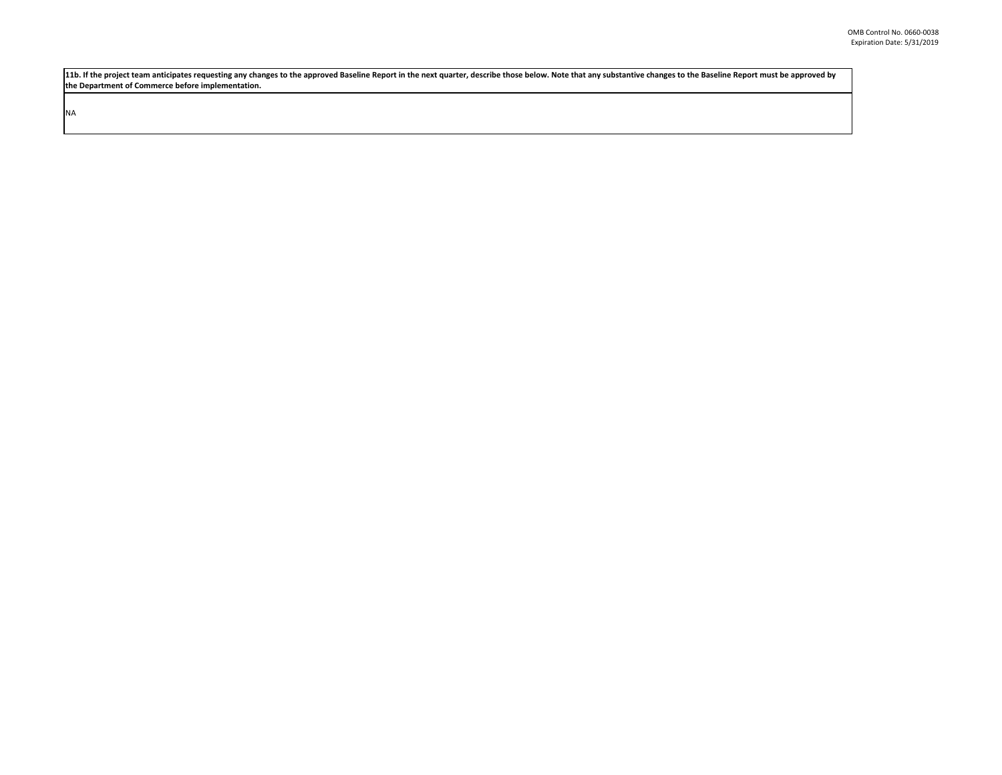11b. If the project team anticipates requesting any changes to the approved Baseline Report in the next quarter, describe those below. Note that any substantive changes to the Baseline Report must be approved by **the Department of Commerce before implementation.**

NA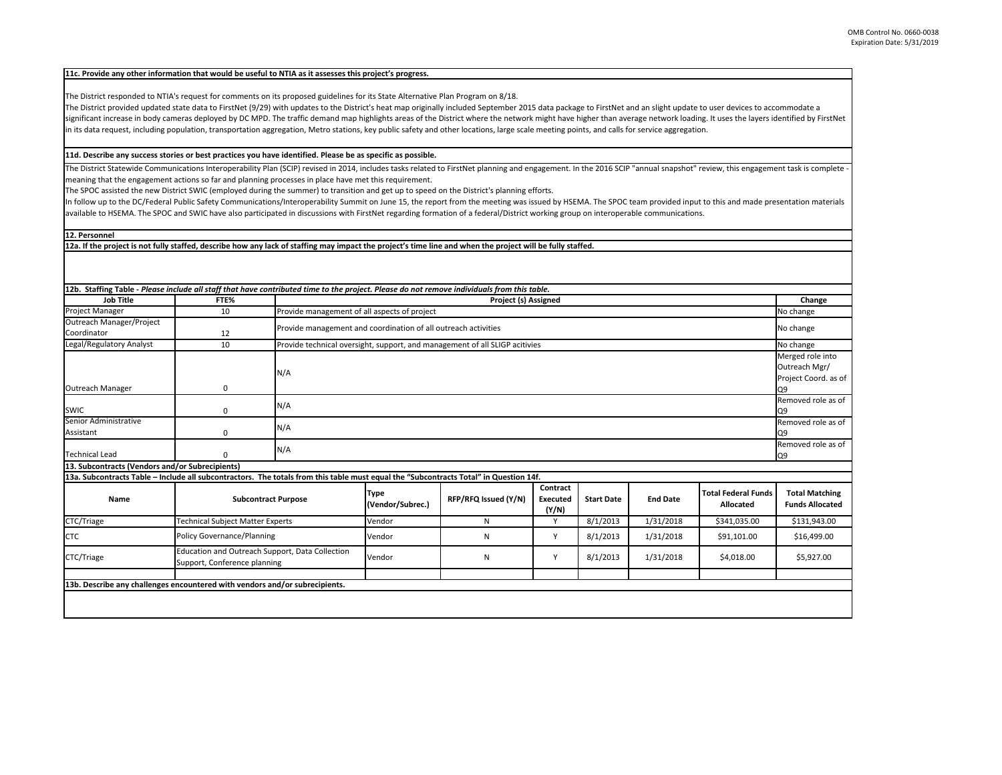## **11c. Provide any other information that would be useful to NTIA as it assesses this project's progress.**

The District responded to NTIA's request for comments on its proposed guidelines for its State Alternative Plan Program on 8/18.

The District provided updated state data to FirstNet (9/29) with updates to the District's heat map originally included September 2015 data package to FirstNet and an slight update to user devices to accommodate a significant increase in body cameras deployed by DC MPD. The traffic demand map highlights areas of the District where the network might have higher than average network loading. It uses the layers identified by FirstNet in its data request, including population, transportation aggregation, Metro stations, key public safety and other locations, large scale meeting points, and calls for service aggregation.

## 11d. Describe any success stories or best practices you have identified. Please be as specific as possible.

The District Statewide Communications Interoperability Plan (SCIP) revised in 2014, includes tasks related to FirstNet planning and engagement. In the 2016 SCIP "annual snapshot" review, this engagement task is complete – meaning that the engagement actions so far and planning processes in place have met this requirement.

The SPOC assisted the new District SWIC (employed during the summer) to transition and get up to speed on the District's planning efforts.

In follow up to the DC/Federal Public Safety Communications/Interoperability Summit on June 15, the report from the meeting was issued by HSEMA. The SPOC team provided input to this and made presentation materials available to HSEMA. The SPOC and SWIC have also participated in discussions with FirstNet regarding formation of <sup>a</sup> federal/District working group on interoperable communications.

**12. Personnel**

12a. If the project is not fully staffed, describe how any lack of staffing may impact the project's time line and when the project will be fully staffed.

| 12b. Staffing Table - Please include all staff that have contributed time to the project. Please do not remove individuals from this table. |                                                                                 |                                                                |                                                                                          |                      |                                      |                   |                 |                                         |                                                 |  |
|---------------------------------------------------------------------------------------------------------------------------------------------|---------------------------------------------------------------------------------|----------------------------------------------------------------|------------------------------------------------------------------------------------------|----------------------|--------------------------------------|-------------------|-----------------|-----------------------------------------|-------------------------------------------------|--|
| <b>Job Title</b>                                                                                                                            | FTE%                                                                            |                                                                | Project (s) Assigned                                                                     |                      |                                      |                   |                 |                                         | Change                                          |  |
| Project Manager                                                                                                                             | 10                                                                              |                                                                | Provide management of all aspects of project                                             |                      |                                      |                   |                 | No change                               |                                                 |  |
| Outreach Manager/Project                                                                                                                    |                                                                                 | Provide management and coordination of all outreach activities |                                                                                          |                      |                                      |                   | No change       |                                         |                                                 |  |
| Coordinator                                                                                                                                 | 12                                                                              |                                                                |                                                                                          |                      |                                      |                   |                 |                                         |                                                 |  |
| Legal/Regulatory Analyst                                                                                                                    | 10                                                                              |                                                                | Provide technical oversight, support, and management of all SLIGP acitivies<br>No change |                      |                                      |                   |                 |                                         |                                                 |  |
|                                                                                                                                             |                                                                                 |                                                                |                                                                                          |                      |                                      |                   |                 |                                         | Merged role into                                |  |
|                                                                                                                                             |                                                                                 | N/A                                                            |                                                                                          |                      |                                      |                   |                 |                                         | Outreach Mgr/                                   |  |
| Outreach Manager                                                                                                                            | 0                                                                               |                                                                |                                                                                          |                      |                                      |                   |                 |                                         | Project Coord. as of<br>Q9                      |  |
|                                                                                                                                             |                                                                                 |                                                                |                                                                                          |                      |                                      |                   |                 |                                         | Removed role as of                              |  |
| <b>SWIC</b>                                                                                                                                 | 0                                                                               | N/A                                                            |                                                                                          |                      |                                      |                   |                 |                                         | Q9                                              |  |
| Senior Administrative                                                                                                                       |                                                                                 |                                                                |                                                                                          |                      |                                      |                   |                 |                                         | Removed role as of                              |  |
| Assistant                                                                                                                                   | $\Omega$                                                                        |                                                                | N/A<br>Q9                                                                                |                      |                                      |                   |                 |                                         |                                                 |  |
|                                                                                                                                             |                                                                                 | N/A                                                            |                                                                                          |                      |                                      |                   |                 |                                         | Removed role as of                              |  |
| <b>Technical Lead</b>                                                                                                                       | $\Omega$                                                                        |                                                                |                                                                                          |                      |                                      |                   |                 | Q9                                      |                                                 |  |
| 13. Subcontracts (Vendors and/or Subrecipients)                                                                                             |                                                                                 |                                                                |                                                                                          |                      |                                      |                   |                 |                                         |                                                 |  |
| 13a. Subcontracts Table - Include all subcontractors. The totals from this table must equal the "Subcontracts Total" in Question 14f.       |                                                                                 |                                                                |                                                                                          |                      |                                      |                   |                 |                                         |                                                 |  |
| Name                                                                                                                                        | <b>Subcontract Purpose</b>                                                      |                                                                | <b>Type</b><br>(Vendor/Subrec.)                                                          | RFP/RFQ Issued (Y/N) | Contract<br><b>Executed</b><br>(Y/N) | <b>Start Date</b> | <b>End Date</b> | <b>Total Federal Funds</b><br>Allocated | <b>Total Matching</b><br><b>Funds Allocated</b> |  |
| CTC/Triage                                                                                                                                  | <b>Technical Subject Matter Experts</b>                                         |                                                                | Vendor                                                                                   | N                    |                                      | 8/1/2013          | 1/31/2018       | \$341,035.00                            | \$131,943.00                                    |  |
| <b>CTC</b>                                                                                                                                  | <b>Policy Governance/Planning</b>                                               |                                                                | Vendor                                                                                   | N                    | Y                                    | 8/1/2013          | 1/31/2018       | \$91,101.00                             | \$16,499.00                                     |  |
| CTC/Triage                                                                                                                                  | Education and Outreach Support, Data Collection<br>Support, Conference planning |                                                                | Vendor                                                                                   | N                    | Y                                    | 8/1/2013          | 1/31/2018       | \$4,018.00                              | \$5,927.00                                      |  |
|                                                                                                                                             |                                                                                 |                                                                |                                                                                          |                      |                                      |                   |                 |                                         |                                                 |  |
| 13b. Describe any challenges encountered with vendors and/or subrecipients.                                                                 |                                                                                 |                                                                |                                                                                          |                      |                                      |                   |                 |                                         |                                                 |  |
|                                                                                                                                             |                                                                                 |                                                                |                                                                                          |                      |                                      |                   |                 |                                         |                                                 |  |
|                                                                                                                                             |                                                                                 |                                                                |                                                                                          |                      |                                      |                   |                 |                                         |                                                 |  |